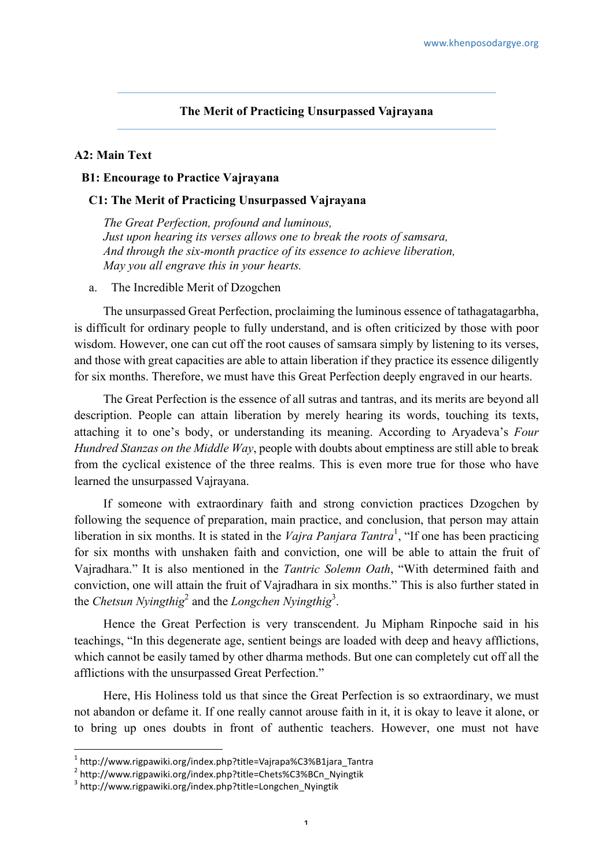# **The Merit of Practicing Unsurpassed Vajrayana**

## **A2: Main Text**

#### **B1: Encourage to Practice Vajrayana**

## **C1: The Merit of Practicing Unsurpassed Vajrayana**

*The Great Perfection, profound and luminous, Just upon hearing its verses allows one to break the roots of samsara, And through the six-month practice of its essence to achieve liberation, May you all engrave this in your hearts.*

a. The Incredible Merit of Dzogchen

The unsurpassed Great Perfection, proclaiming the luminous essence of tathagatagarbha, is difficult for ordinary people to fully understand, and is often criticized by those with poor wisdom. However, one can cut off the root causes of samsara simply by listening to its verses, and those with great capacities are able to attain liberation if they practice its essence diligently for six months. Therefore, we must have this Great Perfection deeply engraved in our hearts.

The Great Perfection is the essence of all sutras and tantras, and its merits are beyond all description. People can attain liberation by merely hearing its words, touching its texts, attaching it to one's body, or understanding its meaning. According to Aryadeva's *Four Hundred Stanzas on the Middle Way*, people with doubts about emptiness are still able to break from the cyclical existence of the three realms. This is even more true for those who have learned the unsurpassed Vajrayana.

If someone with extraordinary faith and strong conviction practices Dzogchen by following the sequence of preparation, main practice, and conclusion, that person may attain liberation in six months. It is stated in the *Vajra Panjara Tantra*<sup>1</sup>, "If one has been practicing for six months with unshaken faith and conviction, one will be able to attain the fruit of Vajradhara." It is also mentioned in the *Tantric Solemn Oath*, "With determined faith and conviction, one will attain the fruit of Vajradhara in six months." This is also further stated in the *Chetsun Nyingthig*<sup>2</sup> and the *Longchen Nyingthig*<sup>3</sup> .

Hence the Great Perfection is very transcendent. Ju Mipham Rinpoche said in his teachings, "In this degenerate age, sentient beings are loaded with deep and heavy afflictions, which cannot be easily tamed by other dharma methods. But one can completely cut off all the afflictions with the unsurpassed Great Perfection."

Here, His Holiness told us that since the Great Perfection is so extraordinary, we must not abandon or defame it. If one really cannot arouse faith in it, it is okay to leave it alone, or to bring up ones doubts in front of authentic teachers. However, one must not have

 

 $1$  http://www.rigpawiki.org/index.php?title=Vajrapa%C3%B1jara\_Tantra

<sup>2&</sup>lt;br>2 http://www.rigpawiki.org/index.php?title=Chets%C3%BCn\_Nyingtik 3<br>3 http://www.rigpawiki.org/index.php?title=Longchen\_Nyingtik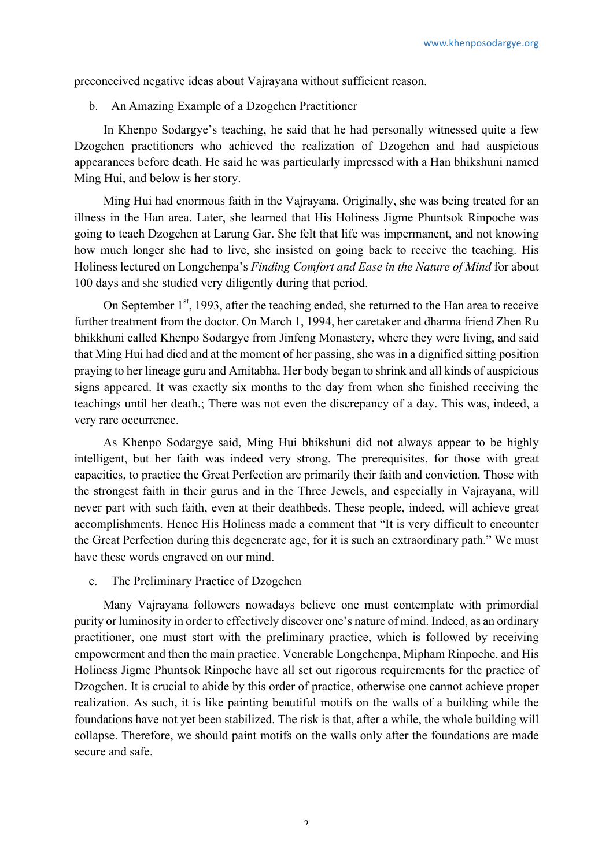preconceived negative ideas about Vajrayana without sufficient reason.

b. An Amazing Example of a Dzogchen Practitioner

In Khenpo Sodargye's teaching, he said that he had personally witnessed quite a few Dzogchen practitioners who achieved the realization of Dzogchen and had auspicious appearances before death. He said he was particularly impressed with a Han bhikshuni named Ming Hui, and below is her story.

Ming Hui had enormous faith in the Vajrayana. Originally, she was being treated for an illness in the Han area. Later, she learned that His Holiness Jigme Phuntsok Rinpoche was going to teach Dzogchen at Larung Gar. She felt that life was impermanent, and not knowing how much longer she had to live, she insisted on going back to receive the teaching. His Holiness lectured on Longchenpa's *Finding Comfort and Ease in the Nature of Mind* for about 100 days and she studied very diligently during that period.

On September  $1<sup>st</sup>$ , 1993, after the teaching ended, she returned to the Han area to receive further treatment from the doctor. On March 1, 1994, her caretaker and dharma friend Zhen Ru bhikkhuni called Khenpo Sodargye from Jinfeng Monastery, where they were living, and said that Ming Hui had died and at the moment of her passing, she was in a dignified sitting position praying to her lineage guru and Amitabha. Her body began to shrink and all kinds of auspicious signs appeared. It was exactly six months to the day from when she finished receiving the teachings until her death.; There was not even the discrepancy of a day. This was, indeed, a very rare occurrence.

As Khenpo Sodargye said, Ming Hui bhikshuni did not always appear to be highly intelligent, but her faith was indeed very strong. The prerequisites, for those with great capacities, to practice the Great Perfection are primarily their faith and conviction. Those with the strongest faith in their gurus and in the Three Jewels, and especially in Vajrayana, will never part with such faith, even at their deathbeds. These people, indeed, will achieve great accomplishments. Hence His Holiness made a comment that "It is very difficult to encounter the Great Perfection during this degenerate age, for it is such an extraordinary path." We must have these words engraved on our mind.

c. The Preliminary Practice of Dzogchen

Many Vajrayana followers nowadays believe one must contemplate with primordial purity or luminosity in order to effectively discover one's nature of mind. Indeed, as an ordinary practitioner, one must start with the preliminary practice, which is followed by receiving empowerment and then the main practice. Venerable Longchenpa, Mipham Rinpoche, and His Holiness Jigme Phuntsok Rinpoche have all set out rigorous requirements for the practice of Dzogchen. It is crucial to abide by this order of practice, otherwise one cannot achieve proper realization. As such, it is like painting beautiful motifs on the walls of a building while the foundations have not yet been stabilized. The risk is that, after a while, the whole building will collapse. Therefore, we should paint motifs on the walls only after the foundations are made secure and safe.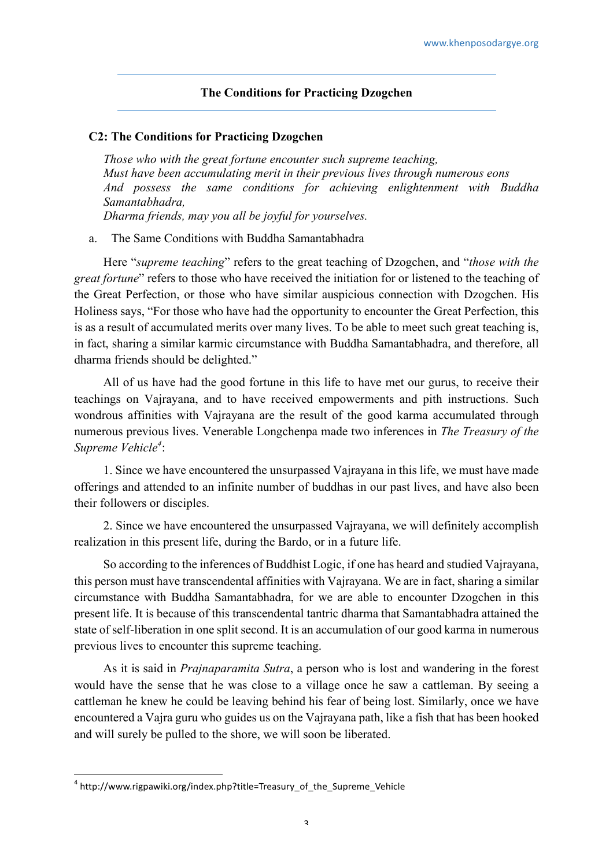## **The Conditions for Practicing Dzogchen**

#### **C2: The Conditions for Practicing Dzogchen**

*Those who with the great fortune encounter such supreme teaching, Must have been accumulating merit in their previous lives through numerous eons And possess the same conditions for achieving enlightenment with Buddha Samantabhadra, Dharma friends, may you all be joyful for yourselves.*

a. The Same Conditions with Buddha Samantabhadra

Here "*supreme teaching*" refers to the great teaching of Dzogchen, and "*those with the great fortune*" refers to those who have received the initiation for or listened to the teaching of the Great Perfection, or those who have similar auspicious connection with Dzogchen. His Holiness says, "For those who have had the opportunity to encounter the Great Perfection, this is as a result of accumulated merits over many lives. To be able to meet such great teaching is, in fact, sharing a similar karmic circumstance with Buddha Samantabhadra, and therefore, all dharma friends should be delighted."

All of us have had the good fortune in this life to have met our gurus, to receive their teachings on Vajrayana, and to have received empowerments and pith instructions. Such wondrous affinities with Vajrayana are the result of the good karma accumulated through numerous previous lives. Venerable Longchenpa made two inferences in *The Treasury of the*  Supreme Vehicle<sup>4</sup>:

1. Since we have encountered the unsurpassed Vajrayana in this life, we must have made offerings and attended to an infinite number of buddhas in our past lives, and have also been their followers or disciples.

2. Since we have encountered the unsurpassed Vajrayana, we will definitely accomplish realization in this present life, during the Bardo, or in a future life.

So according to the inferences of Buddhist Logic, if one has heard and studied Vajrayana, this person must have transcendental affinities with Vajrayana. We are in fact, sharing a similar circumstance with Buddha Samantabhadra, for we are able to encounter Dzogchen in this present life. It is because of this transcendental tantric dharma that Samantabhadra attained the state of self-liberation in one split second. It is an accumulation of our good karma in numerous previous lives to encounter this supreme teaching.

As it is said in *Prajnaparamita Sutra*, a person who is lost and wandering in the forest would have the sense that he was close to a village once he saw a cattleman. By seeing a cattleman he knew he could be leaving behind his fear of being lost. Similarly, once we have encountered a Vajra guru who guides us on the Vajrayana path, like a fish that has been hooked and will surely be pulled to the shore, we will soon be liberated.

<sup>&</sup>lt;sup>4</sup> http://www.rigpawiki.org/index.php?title=Treasury\_of\_the\_Supreme\_Vehicle